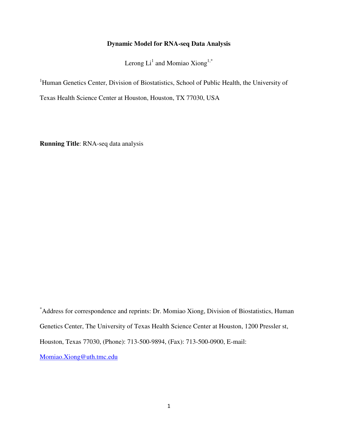# **Dynamic Model for RNA-seq Data Analysis**

Lerong  $Li<sup>1</sup>$  and Momiao Xiong<sup>1,\*</sup>

<sup>1</sup>Human Genetics Center, Division of Biostatistics, School of Public Health, the University of

Texas Health Science Center at Houston, Houston, TX 77030, USA

**Running Title**: RNA-seq data analysis

\*Address for correspondence and reprints: Dr. Momiao Xiong, Division of Biostatistics, Human Genetics Center, The University of Texas Health Science Center at Houston, 1200 Pressler st, Houston, Texas 77030, (Phone): 713-500-9894, (Fax): 713-500-0900, E-mail: Momiao.Xiong@uth.tmc.edu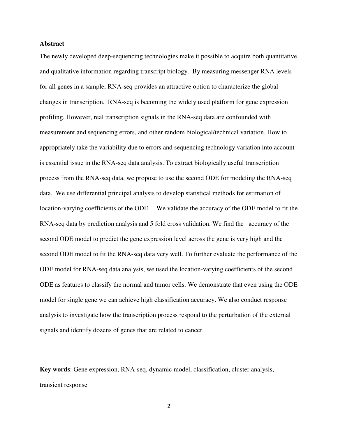### **Abstract**

The newly developed deep-sequencing technologies make it possible to acquire both quantitative and qualitative information regarding transcript biology. By measuring messenger RNA levels for all genes in a sample, RNA-seq provides an attractive option to characterize the global changes in transcription. RNA-seq is becoming the widely used platform for gene expression profiling. However, real transcription signals in the RNA-seq data are confounded with measurement and sequencing errors, and other random biological/technical variation. How to appropriately take the variability due to errors and sequencing technology variation into account is essential issue in the RNA-seq data analysis. To extract biologically useful transcription process from the RNA-seq data, we propose to use the second ODE for modeling the RNA-seq data. We use differential principal analysis to develop statistical methods for estimation of location-varying coefficients of the ODE. We validate the accuracy of the ODE model to fit the RNA-seq data by prediction analysis and 5 fold cross validation. We find the accuracy of the second ODE model to predict the gene expression level across the gene is very high and the second ODE model to fit the RNA-seq data very well. To further evaluate the performance of the ODE model for RNA-seq data analysis, we used the location-varying coefficients of the second ODE as features to classify the normal and tumor cells. We demonstrate that even using the ODE model for single gene we can achieve high classification accuracy. We also conduct response analysis to investigate how the transcription process respond to the perturbation of the external signals and identify dozens of genes that are related to cancer.

**Key words**: Gene expression, RNA-seq, dynamic model, classification, cluster analysis, transient response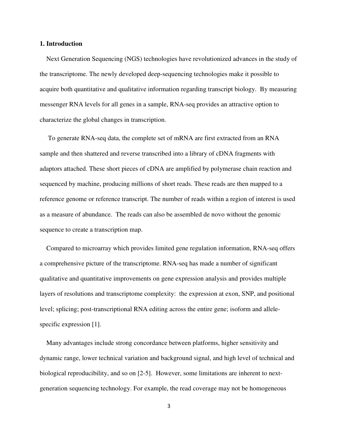#### **1. Introduction**

 Next Generation Sequencing (NGS) technologies have revolutionized advances in the study of the transcriptome. The newly developed deep-sequencing technologies make it possible to acquire both quantitative and qualitative information regarding transcript biology. By measuring messenger RNA levels for all genes in a sample, RNA-seq provides an attractive option to characterize the global changes in transcription.

 To generate RNA-seq data, the complete set of mRNA are first extracted from an RNA sample and then shattered and reverse transcribed into a library of cDNA fragments with adaptors attached. These short pieces of cDNA are amplified by polymerase chain reaction and sequenced by machine, producing millions of short reads. These reads are then mapped to a reference genome or reference transcript. The number of reads within a region of interest is used as a measure of abundance. The reads can also be assembled de novo without the genomic sequence to create a transcription map.

Compared to microarray which provides limited gene regulation information, RNA-seq offers a comprehensive picture of the transcriptome. RNA-seq has made a number of significant qualitative and quantitative improvements on gene expression analysis and provides multiple layers of resolutions and transcriptome complexity: the expression at exon, SNP, and positional level; splicing; post-transcriptional RNA editing across the entire gene; isoform and allelespecific expression [1].

Many advantages include strong concordance between platforms, higher sensitivity and dynamic range, lower technical variation and background signal, and high level of technical and biological reproducibility, and so on [2-5]. However, some limitations are inherent to nextgeneration sequencing technology. For example, the read coverage may not be homogeneous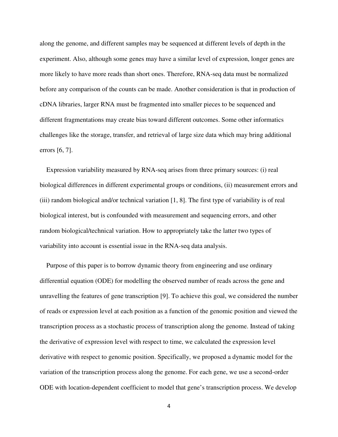along the genome, and different samples may be sequenced at different levels of depth in the experiment. Also, although some genes may have a similar level of expression, longer genes are more likely to have more reads than short ones. Therefore, RNA-seq data must be normalized before any comparison of the counts can be made. Another consideration is that in production of cDNA libraries, larger RNA must be fragmented into smaller pieces to be sequenced and different fragmentations may create bias toward different outcomes. Some other informatics challenges like the storage, transfer, and retrieval of large size data which may bring additional errors [6, 7].

Expression variability measured by RNA-seq arises from three primary sources: (i) real biological differences in different experimental groups or conditions, (ii) measurement errors and (iii) random biological and/or technical variation [1, 8]. The first type of variability is of real biological interest, but is confounded with measurement and sequencing errors, and other random biological/technical variation. How to appropriately take the latter two types of variability into account is essential issue in the RNA-seq data analysis.

Purpose of this paper is to borrow dynamic theory from engineering and use ordinary differential equation (ODE) for modelling the observed number of reads across the gene and unravelling the features of gene transcription [9]. To achieve this goal, we considered the number of reads or expression level at each position as a function of the genomic position and viewed the transcription process as a stochastic process of transcription along the genome. Instead of taking the derivative of expression level with respect to time, we calculated the expression level derivative with respect to genomic position. Specifically, we proposed a dynamic model for the variation of the transcription process along the genome. For each gene, we use a second-order ODE with location-dependent coefficient to model that gene's transcription process. We develop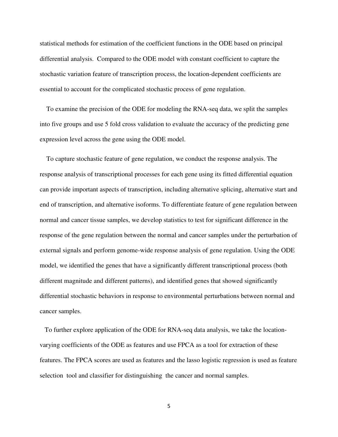statistical methods for estimation of the coefficient functions in the ODE based on principal differential analysis. Compared to the ODE model with constant coefficient to capture the stochastic variation feature of transcription process, the location-dependent coefficients are essential to account for the complicated stochastic process of gene regulation.

To examine the precision of the ODE for modeling the RNA-seq data, we split the samples into five groups and use 5 fold cross validation to evaluate the accuracy of the predicting gene expression level across the gene using the ODE model.

 To capture stochastic feature of gene regulation, we conduct the response analysis. The response analysis of transcriptional processes for each gene using its fitted differential equation can provide important aspects of transcription, including alternative splicing, alternative start and end of transcription, and alternative isoforms. To differentiate feature of gene regulation between normal and cancer tissue samples, we develop statistics to test for significant difference in the response of the gene regulation between the normal and cancer samples under the perturbation of external signals and perform genome-wide response analysis of gene regulation. Using the ODE model, we identified the genes that have a significantly different transcriptional process (both different magnitude and different patterns), and identified genes that showed significantly differential stochastic behaviors in response to environmental perturbations between normal and cancer samples.

 To further explore application of the ODE for RNA-seq data analysis, we take the locationvarying coefficients of the ODE as features and use FPCA as a tool for extraction of these features. The FPCA scores are used as features and the lasso logistic regression is used as feature selection tool and classifier for distinguishing the cancer and normal samples.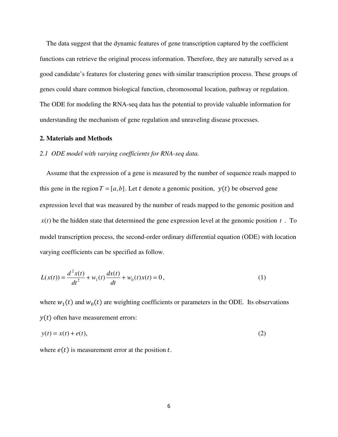The data suggest that the dynamic features of gene transcription captured by the coefficient functions can retrieve the original process information. Therefore, they are naturally served as a good candidate's features for clustering genes with similar transcription process. These groups of genes could share common biological function, chromosomal location, pathway or regulation. The ODE for modeling the RNA-seq data has the potential to provide valuable information for understanding the mechanism of gene regulation and unraveling disease processes.

#### **2. Materials and Methods**

### *2.1 ODE model with varying coefficients for RNA-seq data.*

 Assume that the expression of a gene is measured by the number of sequence reads mapped to this gene in the region  $T = [a, b]$ . Let t denote a genomic position,  $y(t)$  be observed gene expression level that was measured by the number of reads mapped to the genomic position and  $x(t)$  be the hidden state that determined the gene expression level at the genomic position  $t$ . To model transcription process, the second-order ordinary differential equation (ODE) with location varying coefficients can be specified as follow.

$$
L(x(t)) = \frac{d^2x(t)}{dt^2} + w_1(t)\frac{dx(t)}{dt} + w_0(t)x(t) = 0,
$$
\n(1)

where  $w_1(t)$  and  $w_0(t)$  are weighting coefficients or parameters in the ODE. Its observations  $y(t)$  often have measurement errors:

$$
y(t) = x(t) + e(t),
$$
\n<sup>(2)</sup>

where  $e(t)$  is measurement error at the position t.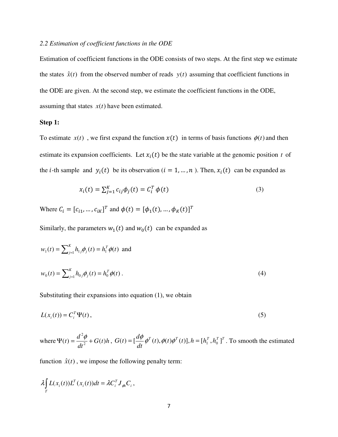# *2.2 Estimation of coefficient functions in the ODE*

Estimation of coefficient functions in the ODE consists of two steps. At the first step we estimate the states  $\hat{x}(t)$  from the observed number of reads  $y(t)$  assuming that coefficient functions in the ODE are given. At the second step, we estimate the coefficient functions in the ODE, assuming that states  $x(t)$  have been estimated.

### **Step 1:**

To estimate  $x(t)$ , we first expand the function  $x(t)$  in terms of basis functions  $\phi(t)$  and then estimate its expansion coefficients. Let  $x_i(t)$  be the state variable at the genomic position t of the *i*-th sample and  $y_i(t)$  be its observation ( $i = 1, ..., n$ ). Then,  $x_i(t)$  can be expanded as

$$
x_i(t) = \sum_{j=1}^{K} c_{ij} \phi_j(t) = C_i^T \phi(t)
$$
\n(3)

Where  $C_i = [c_{i1}, ..., c_{iK}]^T$  and  $\phi(t) = [\phi_1(t), ..., \phi_K(t)]^T$ 

Similarly, the parameters  $w_1(t)$  and  $w_0(t)$  can be expanded as

$$
w_1(t) = \sum_{j=1}^{K} h_{1j} \phi_j(t) = h_1^T \phi(t) \text{ and}
$$
  

$$
w_0(t) = \sum_{j=1}^{K} h_{0j} \phi_j(t) = h_0^T \phi(t).
$$
 (4)

Substituting their expansions into equation (1), we obtain

$$
L(xi(t)) = CiT \Psi(t),
$$
\n(5)

where 
$$
\Psi(t) = \frac{d^2 \phi}{dt^2} + G(t)h
$$
,  $G(t) = [\frac{d\phi}{dt} \phi^T(t), \phi(t)\phi^T(t)], h = [h_1^T, h_0^T]^T$ . To smooth the estimated

function  $\hat{x}(t)$ , we impose the following penalty term:

$$
\lambda \int\limits_T L(x_i(t)) L^T(x_i(t)) dt = \lambda C_i^T J_{\phi h} C_i,
$$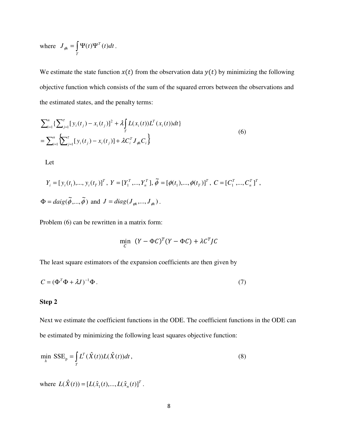where 
$$
J_{\phi h} = \int_{T} \Psi(t) \Psi^{T}(t) dt
$$
.

We estimate the state function  $x(t)$  from the observation data  $y(t)$  by minimizing the following objective function which consists of the sum of the squared errors between the observations and the estimated states, and the penalty terms:

$$
\sum_{i=1}^{n} \left\{ \sum_{j=1}^{r} [y_i(t_j) - x_i(t_j)]^2 + \lambda \int_{T} L(x_i(t)) L^T(x_i(t)) dt \right\}
$$
  
= 
$$
\sum_{i=1}^{n} \left\{ \sum_{j=1}^{r} [y_i(t_j) - x_i(t_j)] + \lambda C_i^T J_{\phi h} C_i \right\}
$$
 (6)

Let

$$
Y_i = [y_i(t_1), ..., y_i(t_T)]^T, Y = [Y_1^T, ..., Y_n^T], \tilde{\phi} = [\phi(t_1), ..., \phi(t_T)]^T, C = [C_1^T, ..., C_n^T]^T,
$$
  

$$
\Phi = \text{diag}(\tilde{\phi}, ..., \tilde{\phi}) \text{ and } J = \text{diag}(J_{\phi h}, ..., J_{\phi h}).
$$

Problem (6) can be rewritten in a matrix form:

$$
\min_{C} (Y - \Phi C)^{T} (Y - \Phi C) + \lambda C^{T} J C
$$

The least square estimators of the expansion coefficients are then given by

$$
C = (\Phi^T \Phi + \lambda J)^{-1} \Phi. \tag{7}
$$

## **Step 2**

Next we estimate the coefficient functions in the ODE. The coefficient functions in the ODE can be estimated by minimizing the following least squares objective function:

$$
\min_{h} \text{SSE}_{p} = \int_{T} L^{T}(\hat{X}(t))L(\hat{X}(t))dt,
$$
\n(8)

where  $L(\hat{X}(t)) = [L(\hat{x}_1(t),...,L(\hat{x}_n(t)))]^T$ .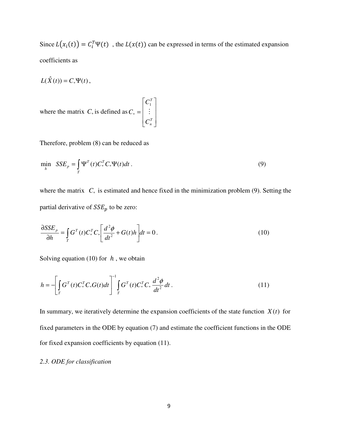Since  $L(x_i(t)) = C_i^T \Psi(t)$ , the  $L(x(t))$  can be expressed in terms of the estimated expansion coefficients as

 $L(\hat{X}(t)) = C_* \Psi(t)$ ,

where the matrix  $C_*$  is defined as  $\overline{\phantom{a}}$  $\overline{\phantom{a}}$  $\overline{\phantom{a}}$ 」 1  $\mathsf{L}$  $\mathbf{r}$  $\mathbf{r}$ L Г = *T n T C C*  $C_* = |$  : 1 \*

Therefore, problem (8) can be reduced as

$$
\min_{h} \ \ SSE_{p} = \int_{T} \Psi^{T}(t) C_{*}^{T} C_{*} \Psi(t) dt \,. \tag{9}
$$

where the matrix  $C_*$  is estimated and hence fixed in the minimization problem (9). Setting the partial derivative of  $SSE_p$  to be zero:

$$
\frac{\partial SSE_p}{\partial h} = \int_T G^T(t) C_*^T C_* \left[ \frac{d^2 \phi}{dt^2} + G(t)h \right] dt = 0. \tag{10}
$$

Solving equation (10) for  $h$ , we obtain

$$
h = -\left[\int_{T} G^{T}(t)C_{*}^{T}C_{*}G(t)dt\right]^{-1}\int_{T} G^{T}(t)C_{*}^{T}C_{*} \frac{d^{2}\phi}{dt^{2}}dt.
$$
\n(11)

In summary, we iteratively determine the expansion coefficients of the state function  $X(t)$  for fixed parameters in the ODE by equation (7) and estimate the coefficient functions in the ODE for fixed expansion coefficients by equation (11).

### *2.3. ODE for classification*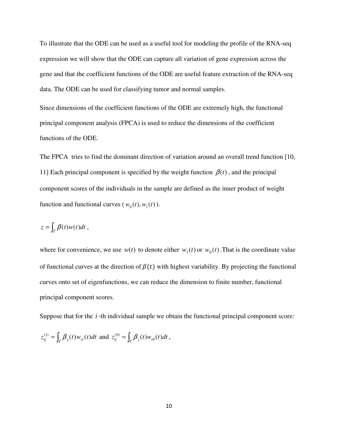To illustrate that the ODE can be used as a useful tool for modeling the profile of the RNA-seq expression we will show that the ODE can capture all variation of gene expression across the gene and that the coefficient functions of the ODE are useful feature extraction of the RNA-seq data. The ODE can be used for classifying tumor and normal samples.

Since dimensions of the coefficient functions of the ODE are extremely high, the functional principal component analysis (FPCA) is used to reduce the dimensions of the coefficient functions of the ODE.

The FPCA tries to find the dominant direction of variation around an overall trend function [10, 11] Each principal component is specified by the weight function  $\beta(t)$ , and the principal component scores of the individuals in the sample are defined as the inner product of weight function and functional curves ( $w_0(t)$ ,  $w_1(t)$ ).

$$
z = \int_T \beta(t) w(t) dt,
$$

where for convenience, we use  $w(t)$  to denote either  $w_1(t)$  or  $w_0(t)$ . That is the coordinate value of functional curves at the direction of  $\beta(t)$  with highest variability. By projecting the functional curves onto set of eigenfunctions, we can reduce the dimension to finite number, functional principal component scores.

Suppose that for the *i* -th individual sample we obtain the functional principal component score:

$$
z_{ij}^{(1)} = \int_T \beta_j(t) w_{i1}(t) dt \text{ and } z_{ij}^{(0)} = \int_T \beta_j(t) w_{i0}(t) dt,
$$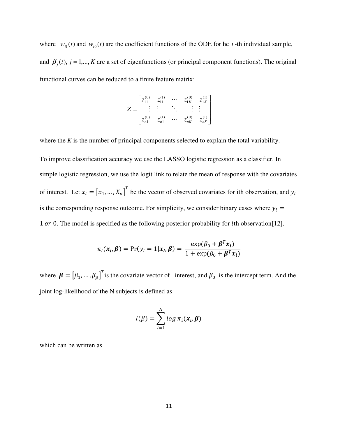where  $w_{i}(t)$  and  $w_{i}(t)$  are the coefficient functions of the ODE for he *i*-th individual sample, and  $\beta_j(t)$ ,  $j = 1,..., K$  are a set of eigenfunctions (or principal component functions). The original functional curves can be reduced to a finite feature matrix:

$$
Z = \begin{bmatrix} z_{11}^{(0)} & z_{11}^{(1)} & \cdots & z_{1K}^{(0)} & z_{1K}^{(1)} \\ \vdots & \vdots & \ddots & \vdots & \vdots \\ z_{n1}^{(0)} & z_{n1}^{(1)} & \cdots & z_{nK}^{(0)} & z_{nK}^{(1)} \end{bmatrix}
$$

where the  $K$  is the number of principal components selected to explain the total variability.

To improve classification accuracy we use the LASSO logistic regression as a classifier. In simple logistic regression, we use the logit link to relate the mean of response with the covariates of interest. Let  $x_i = [x_1, ..., x_p]^T$  be the vector of observed covariates for ith observation, and  $y_i$ is the corresponding response outcome. For simplicity, we consider binary cases where  $y_i =$ 1 or 0. The model is specified as the following posterior probability for *i*th observation[12].

$$
\pi_i(\boldsymbol{x}_i, \boldsymbol{\beta}) = \Pr(y_i = 1 | \boldsymbol{x}_i, \boldsymbol{\beta}) = \frac{\exp(\beta_0 + \boldsymbol{\beta}^T \boldsymbol{x}_i)}{1 + \exp(\beta_0 + \boldsymbol{\beta}^T \boldsymbol{x}_i)}
$$

where  $\boldsymbol{\beta} = [\beta_1, ..., \beta_p]^T$  is the covariate vector of interest, and  $\beta_0$  is the intercept term. And the joint log-likelihood of the N subjects is defined as

$$
l(\beta) = \sum_{i=1}^{N} log \pi_i(x_i, \beta)
$$

which can be written as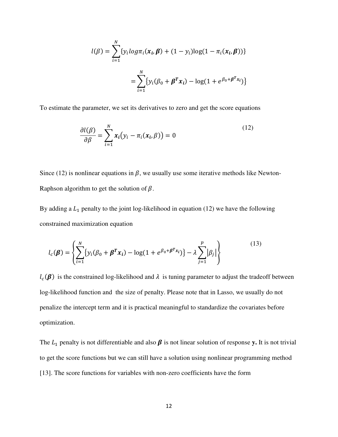$$
l(\beta) = \sum_{i=1}^{N} \{y_i log \pi_i(x_i, \beta) + (1 - y_i) log(1 - \pi_i(x_i, \beta))\}
$$

$$
= \sum_{i=1}^{N} \{y_i(\beta_0 + \beta^T x_i) - log(1 + e^{\beta_0 + \beta^T x_i})\}
$$

To estimate the parameter, we set its derivatives to zero and get the score equations

$$
\frac{\partial l(\beta)}{\partial \beta} = \sum_{i=1}^{N} x_i (y_i - \pi_i(x_i, \beta)) = 0
$$
\n(12)

Since (12) is nonlinear equations in  $\beta$ , we usually use some iterative methods like Newton-Raphson algorithm to get the solution of  $\beta$ .

By adding a  $L_1$  penalty to the joint log-likelihood in equation (12) we have the following constrained maximization equation

$$
l_c(\boldsymbol{\beta}) = \left\{ \sum_{i=1}^N \{ y_i (\beta_0 + \boldsymbol{\beta}^T \boldsymbol{x}_i) - \log(1 + e^{\beta_0 + \boldsymbol{\beta}^T \boldsymbol{x}_i}) \} - \lambda \sum_{j=1}^p |\beta_j| \right\}
$$
(13)

 $l_c(\boldsymbol{\beta})$  is the constrained log-likelihood and  $\lambda$  is tuning parameter to adjust the tradeoff between log-likelihood function and the size of penalty. Please note that in Lasso, we usually do not penalize the intercept term and it is practical meaningful to standardize the covariates before optimization.

The  $L_1$  penalty is not differentiable and also  $\beta$  is not linear solution of response **y**. It is not trivial to get the score functions but we can still have a solution using nonlinear programming method [13]. The score functions for variables with non-zero coefficients have the form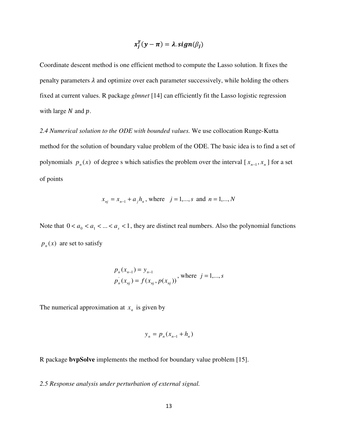$$
x_j^T(y-\pi)=\lambda \, sign(\beta_j)
$$

Coordinate descent method is one efficient method to compute the Lasso solution. It fixes the penalty parameters  $\lambda$  and optimize over each parameter successively, while holding the others fixed at current values. R package *glmnet* [14] can efficiently fit the Lasso logistic regression with large  $N$  and  $p$ .

*2.4 Numerical solution to the ODE with bounded values.* We use collocation Runge-Kutta method for the solution of boundary value problem of the ODE. The basic idea is to find a set of polynomials  $p_n(x)$  of degree s which satisfies the problem over the interval [ $x_{n-1}$ ,  $x_n$ ] for a set of points

$$
x_{nj} = x_{n-1} + a_j h_n
$$
, where  $j = 1,..., s$  and  $n = 1,..., N$ 

Note that  $0 < a_0 < a_1 < ... < a_s < 1$ , they are distinct real numbers. Also the polynomial functions  $p_n(x)$  are set to satisfy

$$
p_n(x_{n-1}) = y_{n-1}
$$
  
\n
$$
p_n(x_{nj}) = f(x_{nj}, p(x_{nj}))
$$
, where  $j = 1,..., s$ 

The numerical approximation at  $x_n$  is given by

$$
y_n = p_n(x_{n-1} + h_n)
$$

R package **bvpSolve** implements the method for boundary value problem [15].

*2.5 Response analysis under perturbation of external signal.*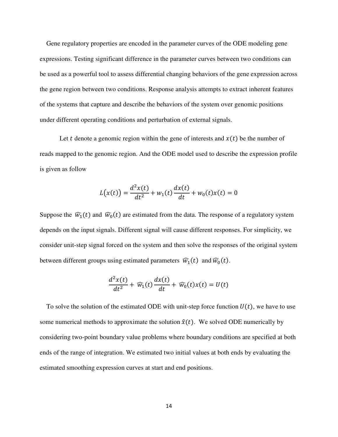Gene regulatory properties are encoded in the parameter curves of the ODE modeling gene expressions. Testing significant difference in the parameter curves between two conditions can be used as a powerful tool to assess differential changing behaviors of the gene expression across the gene region between two conditions. Response analysis attempts to extract inherent features of the systems that capture and describe the behaviors of the system over genomic positions under different operating conditions and perturbation of external signals.

Let t denote a genomic region within the gene of interests and  $x(t)$  be the number of reads mapped to the genomic region. And the ODE model used to describe the expression profile is given as follow

$$
L(x(t)) = \frac{d^2x(t)}{dt^2} + w_1(t)\frac{dx(t)}{dt} + w_0(t)x(t) = 0
$$

Suppose the  $\widehat{w}_1(t)$  and  $\widehat{w}_0(t)$  are estimated from the data. The response of a regulatory system depends on the input signals. Different signal will cause different responses. For simplicity, we consider unit-step signal forced on the system and then solve the responses of the original system between different groups using estimated parameters  $\widehat{w}_1(t)$  and  $\widehat{w}_0(t)$ .

$$
\frac{d^2x(t)}{dt^2} + \widehat{w}_1(t)\frac{dx(t)}{dt} + \widehat{w}_0(t)x(t) = U(t)
$$

To solve the solution of the estimated ODE with unit-step force function  $U(t)$ , we have to use some numerical methods to approximate the solution  $\hat{x}(t)$ . We solved ODE numerically by considering two-point boundary value problems where boundary conditions are specified at both ends of the range of integration. We estimated two initial values at both ends by evaluating the estimated smoothing expression curves at start and end positions.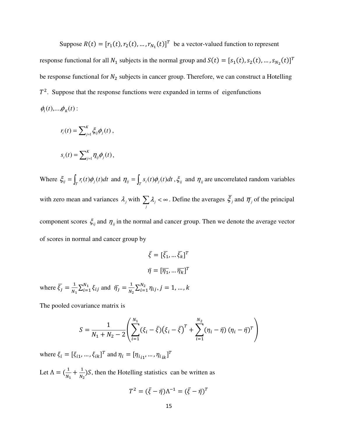Suppose  $R(t) = [r_1(t), r_2(t), ..., r_{N_1}(t)]^T$  be a vector-valued function to represent response functional for all  $N_1$  subjects in the normal group and  $S(t) = [s_1(t), s_2(t), ..., s_{N_2}(t)]^T$ be response functional for  $N_2$  subjects in cancer group. Therefore, we can construct a Hotelling  $T<sup>2</sup>$ . Suppose that the response functions were expanded in terms of eigenfunctions  $\phi_1(t),...,\phi_K(t)$ :

$$
r_i(t) = \sum_{j=1}^K \xi_{ij} \phi_j(t) ,
$$

$$
s_i(t) = \sum_{j=1}^K \eta_{ij} \phi_j(t),
$$

Where  $\xi_{ij} = \int_T r_i(t)\phi_j(t)dt$  and  $\eta_{ij} = \int_T s_i(t)\phi_j(t)dt$ ,  $\xi_{ij}$  and  $\eta_{ij}$  are uncorrelated random variables with zero mean and variances  $\lambda_j$  with  $\sum \lambda_j < \infty$ *j*  $\lambda_j < \infty$ . Define the averages  $\xi_j$  and  $\overline{\eta}_j$  of the principal

component scores  $\xi_{ij}$  and  $\eta_{ij}$  in the normal and cancer group. Then we denote the average vector of scores in normal and cancer group by

$$
\bar{\xi} = [\bar{\xi_1}, \dots \bar{\xi_k}]^T
$$

$$
\bar{\eta} = [\bar{\eta_1}, \dots \bar{\eta_k}]^T
$$

where  $\overline{\xi}_j = \frac{1}{N}$  $\frac{1}{N_1} \sum_{i=1}^{N_1} \xi_{ij}$  and  $\bar{\eta}_j =$  $\overline{1}$  $\frac{1}{N_2} \sum_{i=1}^{N_2} \eta_{ij}, j = 1, ..., k$ 

The pooled covariance matrix is

$$
S = \frac{1}{N_1 + N_2 - 2} \left( \sum_{i=1}^{N_1} (\xi_i - \bar{\xi}) (\xi_i - \bar{\xi})^T + \sum_{i=1}^{N_2} (\eta_i - \bar{\eta}) (\eta_i - \bar{\eta})^T \right)
$$

where  $\xi_i = [\xi_{i1}, ..., \xi_{ik}]^T$  and  $\eta_i = [\eta_{i_{i1}}, ..., \eta_{i_{ik}}]^T$ 

Let  $\Lambda = (\frac{1}{N_1} + \frac{1}{N_2})$  $(\frac{1}{N_2})S$ , then the Hotelling statistics can be written as

$$
T^2 = (\bar{\xi} - \bar{\eta})\Lambda^{-1} = (\bar{\xi} - \bar{\eta})^T
$$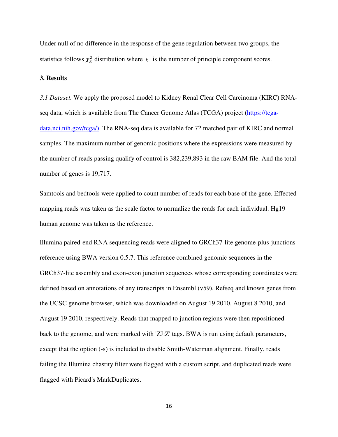Under null of no difference in the response of the gene regulation between two groups, the statistics follows  $\chi_k^2$  distribution where *k* is the number of principle component scores.

### **3. Results**

*3.1 Dataset.* We apply the proposed model to Kidney Renal Clear Cell Carcinoma (KIRC) RNAseq data, which is available from The Cancer Genome Atlas (TCGA) project (https://tcgadata.nci.nih.gov/tcga/). The RNA-seq data is available for 72 matched pair of KIRC and normal samples. The maximum number of genomic positions where the expressions were measured by the number of reads passing qualify of control is 382,239,893 in the raw BAM file. And the total number of genes is 19,717.

Samtools and bedtools were applied to count number of reads for each base of the gene. Effected mapping reads was taken as the scale factor to normalize the reads for each individual. Hg19 human genome was taken as the reference.

Illumina paired-end RNA sequencing reads were aligned to GRCh37-lite genome-plus-junctions reference using BWA version 0.5.7. This reference combined genomic sequences in the GRCh37-lite assembly and exon-exon junction sequences whose corresponding coordinates were defined based on annotations of any transcripts in Ensembl (v59), Refseq and known genes from the UCSC genome browser, which was downloaded on August 19 2010, August 8 2010, and August 19 2010, respectively. Reads that mapped to junction regions were then repositioned back to the genome, and were marked with 'ZJ:Z' tags. BWA is run using default parameters, except that the option (-s) is included to disable Smith-Waterman alignment. Finally, reads failing the Illumina chastity filter were flagged with a custom script, and duplicated reads were flagged with Picard's MarkDuplicates.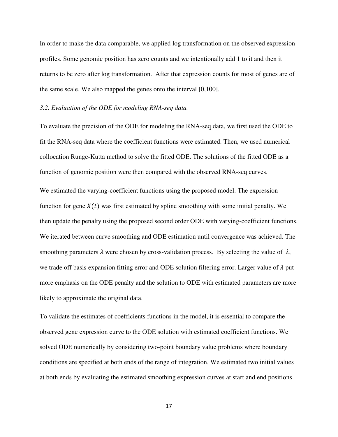In order to make the data comparable, we applied log transformation on the observed expression profiles. Some genomic position has zero counts and we intentionally add 1 to it and then it returns to be zero after log transformation. After that expression counts for most of genes are of the same scale. We also mapped the genes onto the interval [0,100].

### *3.2. Evaluation of the ODE for modeling RNA-seq data.*

To evaluate the precision of the ODE for modeling the RNA-seq data, we first used the ODE to fit the RNA-seq data where the coefficient functions were estimated. Then, we used numerical collocation Runge-Kutta method to solve the fitted ODE. The solutions of the fitted ODE as a function of genomic position were then compared with the observed RNA-seq curves.

We estimated the varying-coefficient functions using the proposed model. The expression function for gene  $X(t)$  was first estimated by spline smoothing with some initial penalty. We then update the penalty using the proposed second order ODE with varying-coefficient functions. We iterated between curve smoothing and ODE estimation until convergence was achieved. The smoothing parameters  $\lambda$  were chosen by cross-validation process. By selecting the value of  $\lambda$ , we trade off basis expansion fitting error and ODE solution filtering error. Larger value of  $\lambda$  put more emphasis on the ODE penalty and the solution to ODE with estimated parameters are more likely to approximate the original data.

To validate the estimates of coefficients functions in the model, it is essential to compare the observed gene expression curve to the ODE solution with estimated coefficient functions. We solved ODE numerically by considering two-point boundary value problems where boundary conditions are specified at both ends of the range of integration. We estimated two initial values at both ends by evaluating the estimated smoothing expression curves at start and end positions.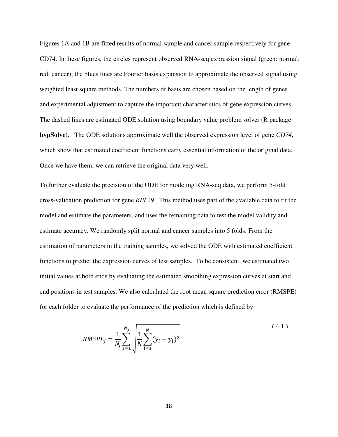Figures 1A and 1B are fitted results of normal sample and cancer sample respectively for gene CD74. In these figures, the circles represent observed RNA-seq expression signal (green: normal; red: cancer); the blues lines are Fourier basis expansion to approximate the observed signal using weighted least square methods. The numbers of basis are chosen based on the length of genes and experimental adjustment to capture the important characteristics of gene expression curves. The dashed lines are estimated ODE solution using boundary value problem solver (R package **bvpSolve).** The ODE solutions approximate well the observed expression level of gene *CD74*, which show that estimated coefficient functions carry essential information of the original data. Once we have them, we can retrieve the original data very well.

To further evaluate the precision of the ODE for modeling RNA-seq data, we perform 5-fold cross-validation prediction for gene *RPL29*. This method uses part of the available data to fit the model and estimate the parameters, and uses the remaining data to test the model validity and estimate accuracy. We randomly split normal and cancer samples into 5 folds. From the estimation of parameters in the training samples, we solved the ODE with estimated coefficient functions to predict the expression curves of test samples. To be consistent, we estimated two initial values at both ends by evaluating the estimated smoothing expression curves at start and end positions in test samples. We also calculated the root mean square prediction error (RMSPE) for each folder to evaluate the performance of the prediction which is defined by

$$
RMSPE_j = \frac{1}{N_j} \sum_{j=1}^{N_j} \sqrt{\frac{1}{N} \sum_{i=1}^{N} (\hat{y}_i - y_i)^2}
$$
(4.1)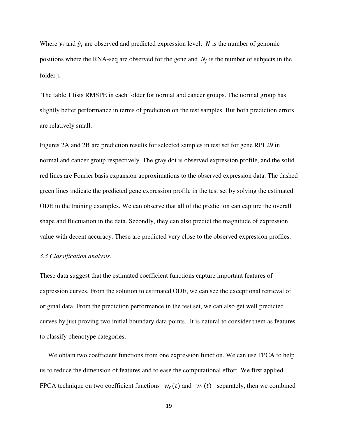Where  $y_i$  and  $\hat{y}_i$  are observed and predicted expression level; N is the number of genomic positions where the RNA-seq are observed for the gene and  $N_j$  is the number of subjects in the folder j.

 The table 1 lists RMSPE in each folder for normal and cancer groups. The normal group has slightly better performance in terms of prediction on the test samples. But both prediction errors are relatively small.

Figures 2A and 2B are prediction results for selected samples in test set for gene RPL29 in normal and cancer group respectively. The gray dot is observed expression profile, and the solid red lines are Fourier basis expansion approximations to the observed expression data. The dashed green lines indicate the predicted gene expression profile in the test set by solving the estimated ODE in the training examples. We can observe that all of the prediction can capture the overall shape and fluctuation in the data. Secondly, they can also predict the magnitude of expression value with decent accuracy. These are predicted very close to the observed expression profiles.

#### *3.3 Classification analysis.*

These data suggest that the estimated coefficient functions capture important features of expression curves. From the solution to estimated ODE, we can see the exceptional retrieval of original data. From the prediction performance in the test set, we can also get well predicted curves by just proving two initial boundary data points. It is natural to consider them as features to classify phenotype categories.

We obtain two coefficient functions from one expression function. We can use FPCA to help us to reduce the dimension of features and to ease the computational effort. We first applied FPCA technique on two coefficient functions  $w_0(t)$  and  $w_1(t)$  separately, then we combined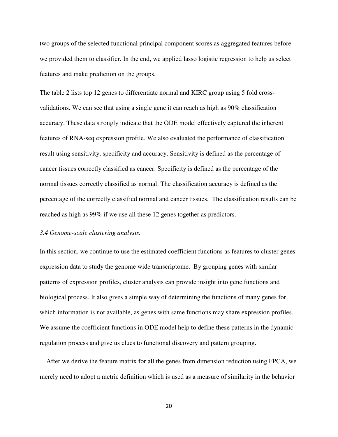two groups of the selected functional principal component scores as aggregated features before we provided them to classifier. In the end, we applied lasso logistic regression to help us select features and make prediction on the groups.

The table 2 lists top 12 genes to differentiate normal and KIRC group using 5 fold crossvalidations. We can see that using a single gene it can reach as high as 90% classification accuracy. These data strongly indicate that the ODE model effectively captured the inherent features of RNA-seq expression profile. We also evaluated the performance of classification result using sensitivity, specificity and accuracy. Sensitivity is defined as the percentage of cancer tissues correctly classified as cancer. Specificity is defined as the percentage of the normal tissues correctly classified as normal. The classification accuracy is defined as the percentage of the correctly classified normal and cancer tissues. The classification results can be reached as high as 99% if we use all these 12 genes together as predictors.

#### *3.4 Genome-scale clustering analysis.*

In this section, we continue to use the estimated coefficient functions as features to cluster genes expression data to study the genome wide transcriptome. By grouping genes with similar patterns of expression profiles, cluster analysis can provide insight into gene functions and biological process. It also gives a simple way of determining the functions of many genes for which information is not available, as genes with same functions may share expression profiles. We assume the coefficient functions in ODE model help to define these patterns in the dynamic regulation process and give us clues to functional discovery and pattern grouping.

 After we derive the feature matrix for all the genes from dimension reduction using FPCA, we merely need to adopt a metric definition which is used as a measure of similarity in the behavior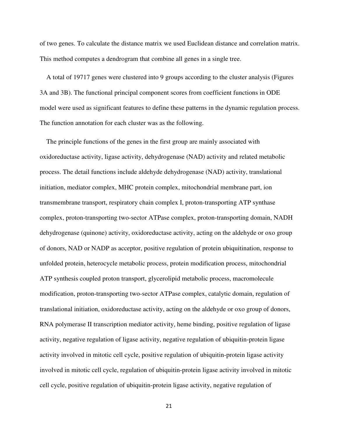of two genes. To calculate the distance matrix we used Euclidean distance and correlation matrix. This method computes a dendrogram that combine all genes in a single tree.

 A total of 19717 genes were clustered into 9 groups according to the cluster analysis (Figures 3A and 3B). The functional principal component scores from coefficient functions in ODE model were used as significant features to define these patterns in the dynamic regulation process. The function annotation for each cluster was as the following.

 The principle functions of the genes in the first group are mainly associated with oxidoreductase activity, ligase activity, dehydrogenase (NAD) activity and related metabolic process. The detail functions include aldehyde dehydrogenase (NAD) activity, translational initiation, mediator complex, MHC protein complex, mitochondrial membrane part, ion transmembrane transport, respiratory chain complex I, proton-transporting ATP synthase complex, proton-transporting two-sector ATPase complex, proton-transporting domain, NADH dehydrogenase (quinone) activity, oxidoreductase activity, acting on the aldehyde or oxo group of donors, NAD or NADP as acceptor, positive regulation of protein ubiquitination, response to unfolded protein, heterocycle metabolic process, protein modification process, mitochondrial ATP synthesis coupled proton transport, glycerolipid metabolic process, macromolecule modification, proton-transporting two-sector ATPase complex, catalytic domain, regulation of translational initiation, oxidoreductase activity, acting on the aldehyde or oxo group of donors, RNA polymerase II transcription mediator activity, heme binding, positive regulation of ligase activity, negative regulation of ligase activity, negative regulation of ubiquitin-protein ligase activity involved in mitotic cell cycle, positive regulation of ubiquitin-protein ligase activity involved in mitotic cell cycle, regulation of ubiquitin-protein ligase activity involved in mitotic cell cycle, positive regulation of ubiquitin-protein ligase activity, negative regulation of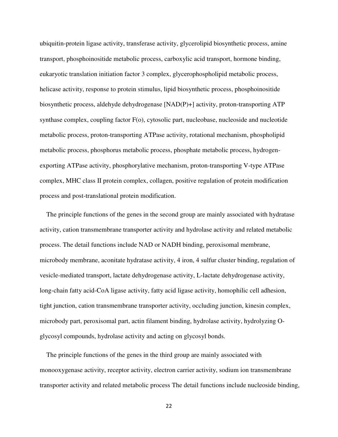ubiquitin-protein ligase activity, transferase activity, glycerolipid biosynthetic process, amine transport, phosphoinositide metabolic process, carboxylic acid transport, hormone binding, eukaryotic translation initiation factor 3 complex, glycerophospholipid metabolic process, helicase activity, response to protein stimulus, lipid biosynthetic process, phosphoinositide biosynthetic process, aldehyde dehydrogenase [NAD(P)+] activity, proton-transporting ATP synthase complex, coupling factor F(o), cytosolic part, nucleobase, nucleoside and nucleotide metabolic process, proton-transporting ATPase activity, rotational mechanism, phospholipid metabolic process, phosphorus metabolic process, phosphate metabolic process, hydrogenexporting ATPase activity, phosphorylative mechanism, proton-transporting V-type ATPase complex, MHC class II protein complex, collagen, positive regulation of protein modification process and post-translational protein modification.

 The principle functions of the genes in the second group are mainly associated with hydratase activity, cation transmembrane transporter activity and hydrolase activity and related metabolic process. The detail functions include NAD or NADH binding, peroxisomal membrane, microbody membrane, aconitate hydratase activity, 4 iron, 4 sulfur cluster binding, regulation of vesicle-mediated transport, lactate dehydrogenase activity, L-lactate dehydrogenase activity, long-chain fatty acid-CoA ligase activity, fatty acid ligase activity, homophilic cell adhesion, tight junction, cation transmembrane transporter activity, occluding junction, kinesin complex, microbody part, peroxisomal part, actin filament binding, hydrolase activity, hydrolyzing Oglycosyl compounds, hydrolase activity and acting on glycosyl bonds.

 The principle functions of the genes in the third group are mainly associated with monooxygenase activity, receptor activity, electron carrier activity, sodium ion transmembrane transporter activity and related metabolic process The detail functions include nucleoside binding,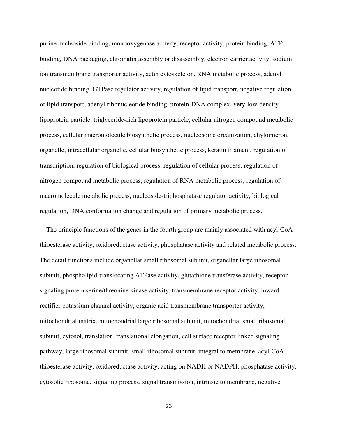purine nucleoside binding, monooxygenase activity, receptor activity, protein binding, ATP binding, DNA packaging, chromatin assembly or disassembly, electron carrier activity, sodium ion transmembrane transporter activity, actin cytoskeleton, RNA metabolic process, adenyl nucleotide binding, GTPase regulator activity, regulation of lipid transport, negative regulation of lipid transport, adenyl ribonucleotide binding, protein-DNA complex, very-low-density lipoprotein particle, triglyceride-rich lipoprotein particle, cellular nitrogen compound metabolic process, cellular macromolecule biosynthetic process, nucleosome organization, chylomicron, organelle, intracellular organelle, cellular biosynthetic process, keratin filament, regulation of transcription, regulation of biological process, regulation of cellular process, regulation of nitrogen compound metabolic process, regulation of RNA metabolic process, regulation of macromolecule metabolic process, nucleoside-triphosphatase regulator activity, biological regulation, DNA conformation change and regulation of primary metabolic process.

 The principle functions of the genes in the fourth group are mainly associated with acyl-CoA thioesterase activity, oxidoreductase activity, phosphatase activity and related metabolic process. The detail functions include organellar small ribosomal subunit, organellar large ribosomal subunit, phospholipid-translocating ATPase activity, glutathione transferase activity, receptor signaling protein serine/threonine kinase activity, transmembrane receptor activity, inward rectifier potassium channel activity, organic acid transmembrane transporter activity, mitochondrial matrix, mitochondrial large ribosomal subunit, mitochondrial small ribosomal subunit, cytosol, translation, translational elongation, cell surface receptor linked signaling pathway, large ribosomal subunit, small ribosomal subunit, integral to membrane, acyl-CoA thioesterase activity, oxidoreductase activity, acting on NADH or NADPH, phosphatase activity, cytosolic ribosome, signaling process, signal transmission, intrinsic to membrane, negative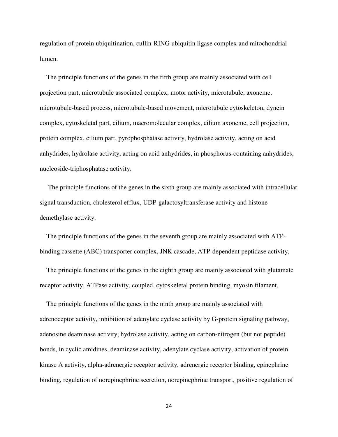regulation of protein ubiquitination, cullin-RING ubiquitin ligase complex and mitochondrial lumen.

 The principle functions of the genes in the fifth group are mainly associated with cell projection part, microtubule associated complex, motor activity, microtubule, axoneme, microtubule-based process, microtubule-based movement, microtubule cytoskeleton, dynein complex, cytoskeletal part, cilium, macromolecular complex, cilium axoneme, cell projection, protein complex, cilium part, pyrophosphatase activity, hydrolase activity, acting on acid anhydrides, hydrolase activity, acting on acid anhydrides, in phosphorus-containing anhydrides, nucleoside-triphosphatase activity.

 The principle functions of the genes in the sixth group are mainly associated with intracellular signal transduction, cholesterol efflux, UDP-galactosyltransferase activity and histone demethylase activity.

 The principle functions of the genes in the seventh group are mainly associated with ATPbinding cassette (ABC) transporter complex, JNK cascade, ATP-dependent peptidase activity,

 The principle functions of the genes in the eighth group are mainly associated with glutamate receptor activity, ATPase activity, coupled, cytoskeletal protein binding, myosin filament,

The principle functions of the genes in the ninth group are mainly associated with adrenoceptor activity, inhibition of adenylate cyclase activity by G-protein signaling pathway, adenosine deaminase activity, hydrolase activity, acting on carbon-nitrogen (but not peptide) bonds, in cyclic amidines, deaminase activity, adenylate cyclase activity, activation of protein kinase A activity, alpha-adrenergic receptor activity, adrenergic receptor binding, epinephrine binding, regulation of norepinephrine secretion, norepinephrine transport, positive regulation of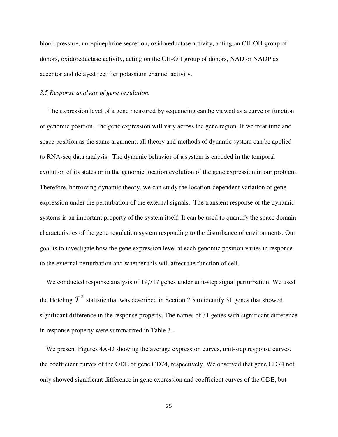blood pressure, norepinephrine secretion, oxidoreductase activity, acting on CH-OH group of donors, oxidoreductase activity, acting on the CH-OH group of donors, NAD or NADP as acceptor and delayed rectifier potassium channel activity.

## *3.5 Response analysis of gene regulation.*

 The expression level of a gene measured by sequencing can be viewed as a curve or function of genomic position. The gene expression will vary across the gene region. If we treat time and space position as the same argument, all theory and methods of dynamic system can be applied to RNA-seq data analysis. The dynamic behavior of a system is encoded in the temporal evolution of its states or in the genomic location evolution of the gene expression in our problem. Therefore, borrowing dynamic theory, we can study the location-dependent variation of gene expression under the perturbation of the external signals. The transient response of the dynamic systems is an important property of the system itself. It can be used to quantify the space domain characteristics of the gene regulation system responding to the disturbance of environments. Our goal is to investigate how the gene expression level at each genomic position varies in response to the external perturbation and whether this will affect the function of cell.

We conducted response analysis of 19,717 genes under unit-step signal perturbation. We used the Hoteling  $T^2$  statistic that was described in Section 2.5 to identify 31 genes that showed significant difference in the response property. The names of 31 genes with significant difference in response property were summarized in Table 3 .

We present Figures 4A-D showing the average expression curves, unit-step response curves, the coefficient curves of the ODE of gene CD74, respectively. We observed that gene CD74 not only showed significant difference in gene expression and coefficient curves of the ODE, but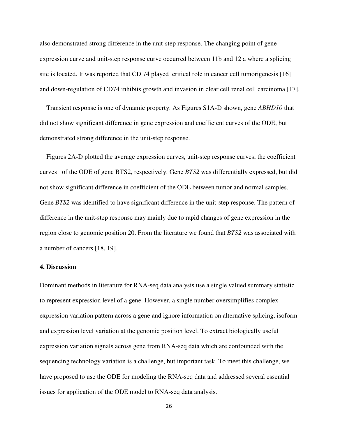also demonstrated strong difference in the unit-step response. The changing point of gene expression curve and unit-step response curve occurred between 11b and 12 a where a splicing site is located. It was reported that CD 74 played critical role in cancer cell tumorigenesis [16] and down-regulation of CD74 inhibits growth and invasion in clear cell renal cell carcinoma [17].

 Transient response is one of dynamic property. As Figures S1A-D shown, gene *ABHD10* that did not show significant difference in gene expression and coefficient curves of the ODE, but demonstrated strong difference in the unit-step response.

Figures 2A-D plotted the average expression curves, unit-step response curves, the coefficient curves of the ODE of gene BTS2, respectively. Gene *BTS2* was differentially expressed, but did not show significant difference in coefficient of the ODE between tumor and normal samples. Gene *BTS2* was identified to have significant difference in the unit-step response. The pattern of difference in the unit-step response may mainly due to rapid changes of gene expression in the region close to genomic position 20. From the literature we found that *BTS2* was associated with a number of cancers [18, 19].

#### **4. Discussion**

Dominant methods in literature for RNA-seq data analysis use a single valued summary statistic to represent expression level of a gene. However, a single number oversimplifies complex expression variation pattern across a gene and ignore information on alternative splicing, isoform and expression level variation at the genomic position level. To extract biologically useful expression variation signals across gene from RNA-seq data which are confounded with the sequencing technology variation is a challenge, but important task. To meet this challenge, we have proposed to use the ODE for modeling the RNA-seq data and addressed several essential issues for application of the ODE model to RNA-seq data analysis.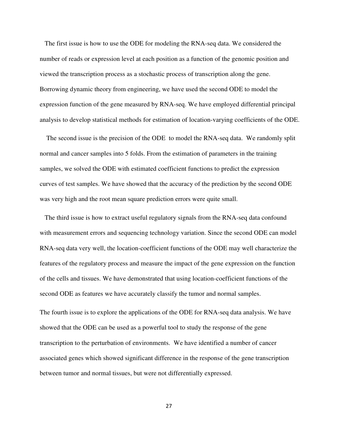The first issue is how to use the ODE for modeling the RNA-seq data. We considered the number of reads or expression level at each position as a function of the genomic position and viewed the transcription process as a stochastic process of transcription along the gene. Borrowing dynamic theory from engineering, we have used the second ODE to model the expression function of the gene measured by RNA-seq. We have employed differential principal analysis to develop statistical methods for estimation of location-varying coefficients of the ODE.

 The second issue is the precision of the ODE to model the RNA-seq data. We randomly split normal and cancer samples into 5 folds. From the estimation of parameters in the training samples, we solved the ODE with estimated coefficient functions to predict the expression curves of test samples. We have showed that the accuracy of the prediction by the second ODE was very high and the root mean square prediction errors were quite small.

 The third issue is how to extract useful regulatory signals from the RNA-seq data confound with measurement errors and sequencing technology variation. Since the second ODE can model RNA-seq data very well, the location-coefficient functions of the ODE may well characterize the features of the regulatory process and measure the impact of the gene expression on the function of the cells and tissues. We have demonstrated that using location-coefficient functions of the second ODE as features we have accurately classify the tumor and normal samples.

The fourth issue is to explore the applications of the ODE for RNA-seq data analysis. We have showed that the ODE can be used as a powerful tool to study the response of the gene transcription to the perturbation of environments. We have identified a number of cancer associated genes which showed significant difference in the response of the gene transcription between tumor and normal tissues, but were not differentially expressed.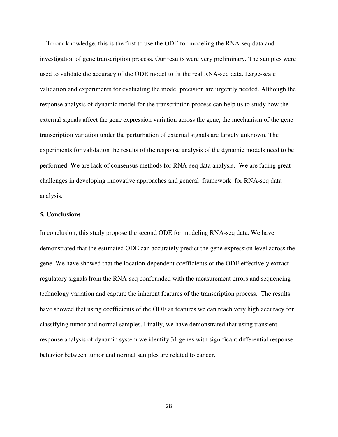To our knowledge, this is the first to use the ODE for modeling the RNA-seq data and investigation of gene transcription process. Our results were very preliminary. The samples were used to validate the accuracy of the ODE model to fit the real RNA-seq data. Large-scale validation and experiments for evaluating the model precision are urgently needed. Although the response analysis of dynamic model for the transcription process can help us to study how the external signals affect the gene expression variation across the gene, the mechanism of the gene transcription variation under the perturbation of external signals are largely unknown. The experiments for validation the results of the response analysis of the dynamic models need to be performed. We are lack of consensus methods for RNA-seq data analysis. We are facing great challenges in developing innovative approaches and general framework for RNA-seq data analysis.

#### **5. Conclusions**

In conclusion, this study propose the second ODE for modeling RNA-seq data. We have demonstrated that the estimated ODE can accurately predict the gene expression level across the gene. We have showed that the location-dependent coefficients of the ODE effectively extract regulatory signals from the RNA-seq confounded with the measurement errors and sequencing technology variation and capture the inherent features of the transcription process. The results have showed that using coefficients of the ODE as features we can reach very high accuracy for classifying tumor and normal samples. Finally, we have demonstrated that using transient response analysis of dynamic system we identify 31 genes with significant differential response behavior between tumor and normal samples are related to cancer.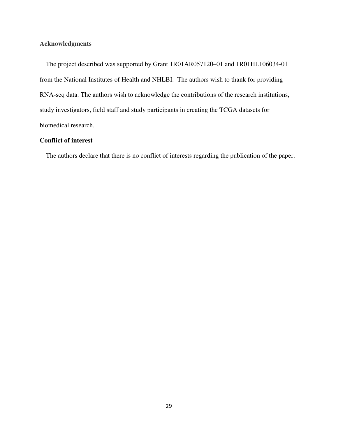# **Acknowledgments**

The project described was supported by Grant 1R01AR057120–01 and 1R01HL106034-01 from the National Institutes of Health and NHLBI. The authors wish to thank for providing RNA-seq data. The authors wish to acknowledge the contributions of the research institutions, study investigators, field staff and study participants in creating the TCGA datasets for biomedical research.

# **Conflict of interest**

The authors declare that there is no conflict of interests regarding the publication of the paper.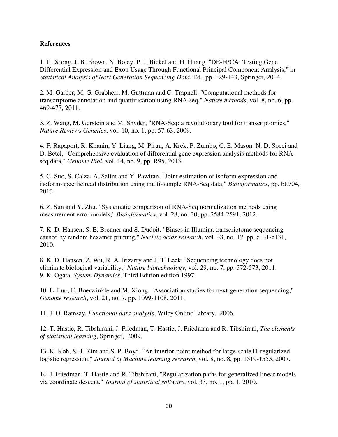## **References**

1. H. Xiong, J. B. Brown, N. Boley, P. J. Bickel and H. Huang, "DE-FPCA: Testing Gene Differential Expression and Exon Usage Through Functional Principal Component Analysis," in *Statistical Analysis of Next Generation Sequencing Data*, Ed., pp. 129-143, Springer, 2014.

2. M. Garber, M. G. Grabherr, M. Guttman and C. Trapnell, "Computational methods for transcriptome annotation and quantification using RNA-seq," *Nature methods*, vol. 8, no. 6, pp. 469-477, 2011.

3. Z. Wang, M. Gerstein and M. Snyder, "RNA-Seq: a revolutionary tool for transcriptomics," *Nature Reviews Genetics*, vol. 10, no. 1, pp. 57-63, 2009.

4. F. Rapaport, R. Khanin, Y. Liang, M. Pirun, A. Krek, P. Zumbo, C. E. Mason, N. D. Socci and D. Betel, "Comprehensive evaluation of differential gene expression analysis methods for RNAseq data," *Genome Biol*, vol. 14, no. 9, pp. R95, 2013.

5. C. Suo, S. Calza, A. Salim and Y. Pawitan, "Joint estimation of isoform expression and isoform-specific read distribution using multi-sample RNA-Seq data," *Bioinformatics*, pp. btt704, 2013.

6. Z. Sun and Y. Zhu, "Systematic comparison of RNA-Seq normalization methods using measurement error models," *Bioinformatics*, vol. 28, no. 20, pp. 2584-2591, 2012.

7. K. D. Hansen, S. E. Brenner and S. Dudoit, "Biases in Illumina transcriptome sequencing caused by random hexamer priming," *Nucleic acids research*, vol. 38, no. 12, pp. e131-e131, 2010.

8. K. D. Hansen, Z. Wu, R. A. Irizarry and J. T. Leek, "Sequencing technology does not eliminate biological variability," *Nature biotechnology*, vol. 29, no. 7, pp. 572-573, 2011. 9. K. Ogata, *System Dynamics*, Third Edition edition 1997.

10. L. Luo, E. Boerwinkle and M. Xiong, "Association studies for next-generation sequencing," *Genome research*, vol. 21, no. 7, pp. 1099-1108, 2011.

11. J. O. Ramsay, *Functional data analysis*, Wiley Online Library, 2006.

12. T. Hastie, R. Tibshirani, J. Friedman, T. Hastie, J. Friedman and R. Tibshirani, *The elements of statistical learning*, Springer, 2009.

13. K. Koh, S.-J. Kim and S. P. Boyd, "An interior-point method for large-scale l1-regularized logistic regression," *Journal of Machine learning research*, vol. 8, no. 8, pp. 1519-1555, 2007.

14. J. Friedman, T. Hastie and R. Tibshirani, "Regularization paths for generalized linear models via coordinate descent," *Journal of statistical software*, vol. 33, no. 1, pp. 1, 2010.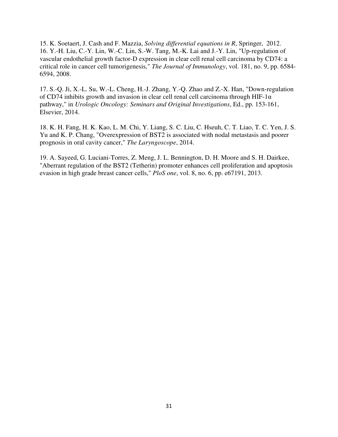15. K. Soetaert, J. Cash and F. Mazzia, *Solving differential equations in R*, Springer, 2012. 16. Y.-H. Liu, C.-Y. Lin, W.-C. Lin, S.-W. Tang, M.-K. Lai and J.-Y. Lin, "Up-regulation of vascular endothelial growth factor-D expression in clear cell renal cell carcinoma by CD74: a critical role in cancer cell tumorigenesis," *The Journal of Immunology*, vol. 181, no. 9, pp. 6584- 6594, 2008.

17. S.-Q. Ji, X.-L. Su, W.-L. Cheng, H.-J. Zhang, Y.-Q. Zhao and Z.-X. Han, "Down-regulation of CD74 inhibits growth and invasion in clear cell renal cell carcinoma through HIF-1 $\alpha$ pathway," in *Urologic Oncology: Seminars and Original Investigations*, Ed., pp. 153-161, Elsevier, 2014.

18. K. H. Fang, H. K. Kao, L. M. Chi, Y. Liang, S. C. Liu, C. Hseuh, C. T. Liao, T. C. Yen, J. S. Yu and K. P. Chang, "Overexpression of BST2 is associated with nodal metastasis and poorer prognosis in oral cavity cancer," *The Laryngoscope*, 2014.

19. A. Sayeed, G. Luciani-Torres, Z. Meng, J. L. Bennington, D. H. Moore and S. H. Dairkee, "Aberrant regulation of the BST2 (Tetherin) promoter enhances cell proliferation and apoptosis evasion in high grade breast cancer cells," *PloS one*, vol. 8, no. 6, pp. e67191, 2013.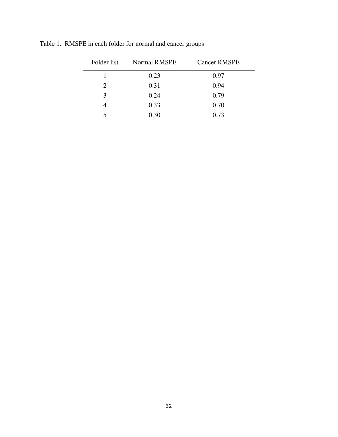| Folder list                 | <b>Normal RMSPE</b> | <b>Cancer RMSPE</b> |
|-----------------------------|---------------------|---------------------|
|                             | 0.23                | 0.97                |
| $\mathcal{D}_{\mathcal{L}}$ | 0.31                | 0.94                |
| 3                           | 0.24                | 0.79                |
|                             | 0.33                | 0.70                |
|                             | 0.30                | 0.73                |

Table 1. RMSPE in each folder for normal and cancer groups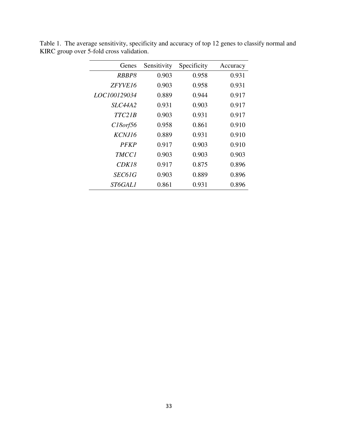| Genes               | Sensitivity | Specificity | Accuracy |
|---------------------|-------------|-------------|----------|
| RBBP8               | 0.903       | 0.958       | 0.931    |
| ZFYVE16             | 0.903       | 0.958       | 0.931    |
| <i>LOC100129034</i> | 0.889       | 0.944       | 0.917    |
| <i>SLC44A2</i>      | 0.931       | 0.903       | 0.917    |
| TTC21B              | 0.903       | 0.931       | 0.917    |
| $C18$ orf56         | 0.958       | 0.861       | 0.910    |
| KCNJ16              | 0.889       | 0.931       | 0.910    |
| <b>PFKP</b>         | 0.917       | 0.903       | 0.910    |
| <i>TMCC1</i>        | 0.903       | 0.903       | 0.903    |
| CDK18               | 0.917       | 0.875       | 0.896    |
| SEC61G              | 0.903       | 0.889       | 0.896    |
| <i>ST6GAL1</i>      | 0.861       | 0.931       | 0.896    |

Table 1. The average sensitivity, specificity and accuracy of top 12 genes to classify normal and KIRC group over 5-fold cross validation.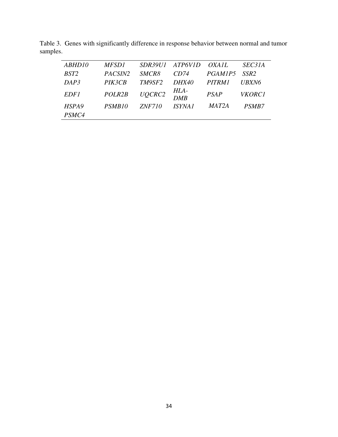| ABHD10           | <i>MFSD1</i>        |               | SDR39U1 ATP6V1D      | OXAIL              | SEC31A        |
|------------------|---------------------|---------------|----------------------|--------------------|---------------|
| BST <sub>2</sub> | PACSIN2             | <i>SMCR8</i>  | CD74                 | <i>PGAM1P5</i>     | SSR2          |
| DAP3             | PIK3CB              | TM9SF2        | DHX40                | PITRM1             | UBXN6         |
| <b>EDF1</b>      | POLR <sub>2</sub> B | <b>UQCRC2</b> | HLA-<br>DMB          | <b>PSAP</b>        | <i>VKORC1</i> |
| HSPA9            | PSMR <sub>10</sub>  | <i>ZNF710</i> | <i><b>ISYNA1</b></i> | MAT <sub>2</sub> A | PSMB7         |
| PSMC4            |                     |               |                      |                    |               |

Table 3. Genes with significantly difference in response behavior between normal and tumor samples.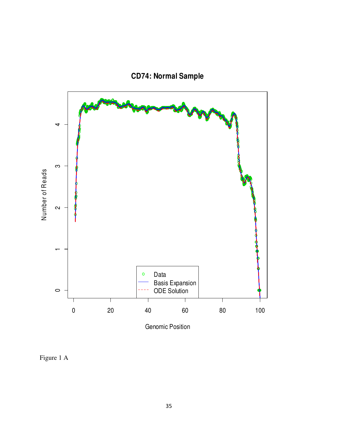**CD74: Normal Sample**



Figure 1 A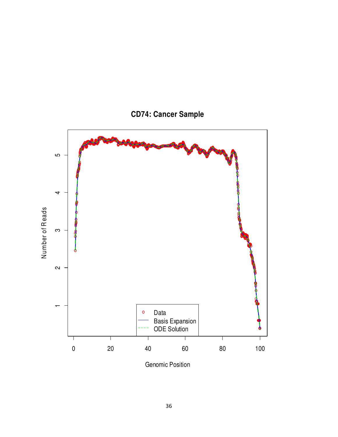

**CD74: Cancer Sample**

Genomic Position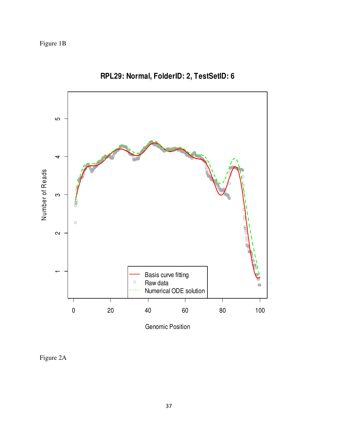

**RPL29: Normal, FolderID: 2, TestSetID: 6**

Figure 2A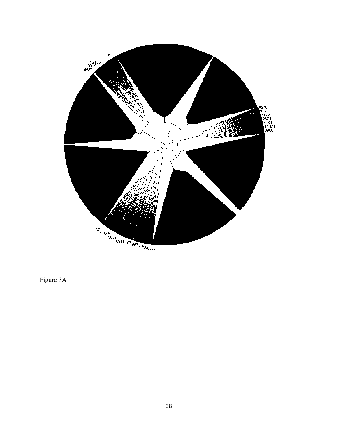

Figure 3A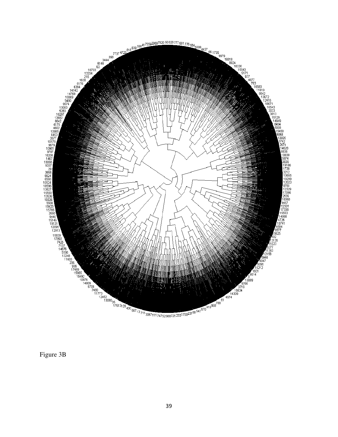

Figure 3B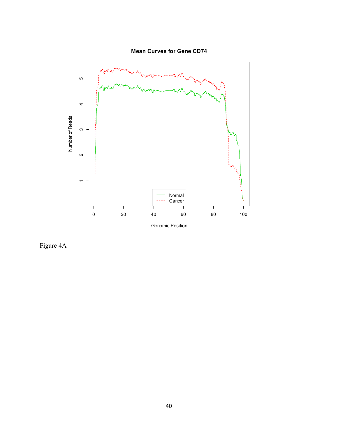



Figure 4A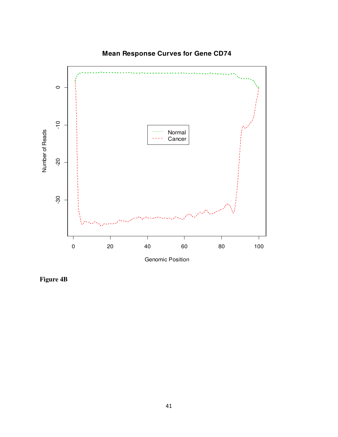

**Mean Response Curves for Gene CD74**

**Figure 4B**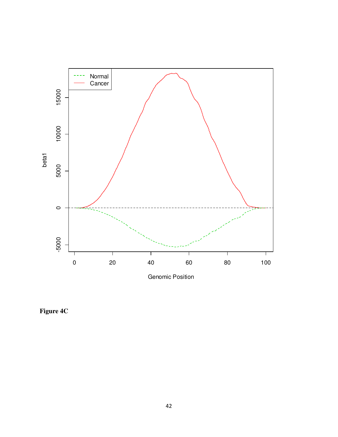

**Figure 4C**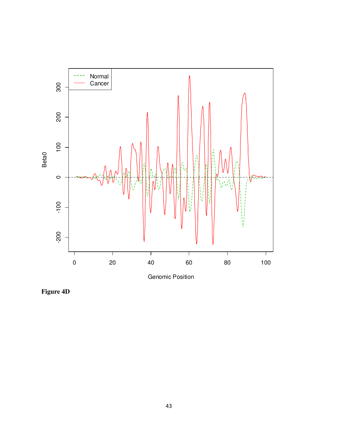

 **Figure 4D**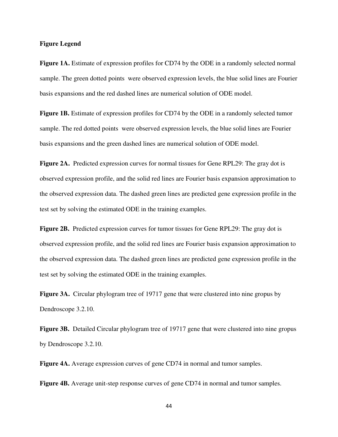### **Figure Legend**

**Figure 1A.** Estimate of expression profiles for CD74 by the ODE in a randomly selected normal sample. The green dotted points were observed expression levels, the blue solid lines are Fourier basis expansions and the red dashed lines are numerical solution of ODE model.

**Figure 1B.** Estimate of expression profiles for CD74 by the ODE in a randomly selected tumor sample. The red dotted points were observed expression levels, the blue solid lines are Fourier basis expansions and the green dashed lines are numerical solution of ODE model.

Figure 2A. Predicted expression curves for normal tissues for Gene RPL29: The gray dot is observed expression profile, and the solid red lines are Fourier basis expansion approximation to the observed expression data. The dashed green lines are predicted gene expression profile in the test set by solving the estimated ODE in the training examples.

**Figure 2B.** Predicted expression curves for tumor tissues for Gene RPL29: The gray dot is observed expression profile, and the solid red lines are Fourier basis expansion approximation to the observed expression data. The dashed green lines are predicted gene expression profile in the test set by solving the estimated ODE in the training examples.

**Figure 3A.** Circular phylogram tree of 19717 gene that were clustered into nine gropus by Dendroscope 3.2.10.

**Figure 3B.** Detailed Circular phylogram tree of 19717 gene that were clustered into nine gropus by Dendroscope 3.2.10.

**Figure 4A.** Average expression curves of gene CD74 in normal and tumor samples.

**Figure 4B.** Average unit-step response curves of gene CD74 in normal and tumor samples.